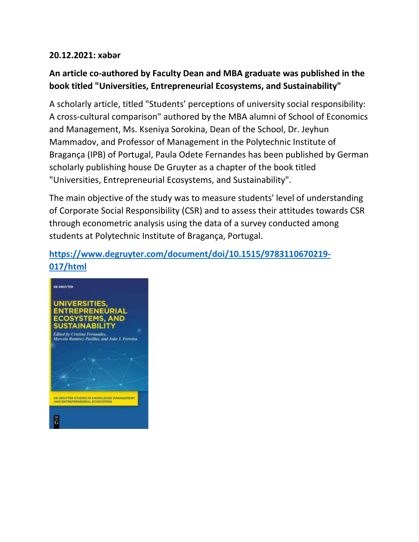## **20.12.2021: xəbər**

## **An article co-authored by Faculty Dean and MBA graduate was published in the book titled "Universities, Entrepreneurial Ecosystems, and Sustainability"**

A scholarly article, titled "Students' perceptions of university social responsibility: A cross-cultural comparison" authored by the MBA alumni of School of Economics and Management, Ms. Kseniya Sorokina, Dean of the School, Dr. Jeyhun Mammadov, and Professor of Management in the Polytechnic Institute of Bragança (IPB) of Portugal, Paula Odete Fernandes has been published by German scholarly publishing house De Gruyter as a chapter of the book titled "Universities, Entrepreneurial Ecosystems, and Sustainability".

The main objective of the study was to measure students' level of understanding of Corporate Social Responsibility (CSR) and to assess their attitudes towards CSR through econometric analysis using the data of a survey conducted among students at Polytechnic Institute of Bragança, Portugal.

## **[https://www.degruyter.com/document/doi/10.1515/9783110670219-](https://www.degruyter.com/document/doi/10.1515/9783110670219-017/html) [017/html](https://www.degruyter.com/document/doi/10.1515/9783110670219-017/html)**